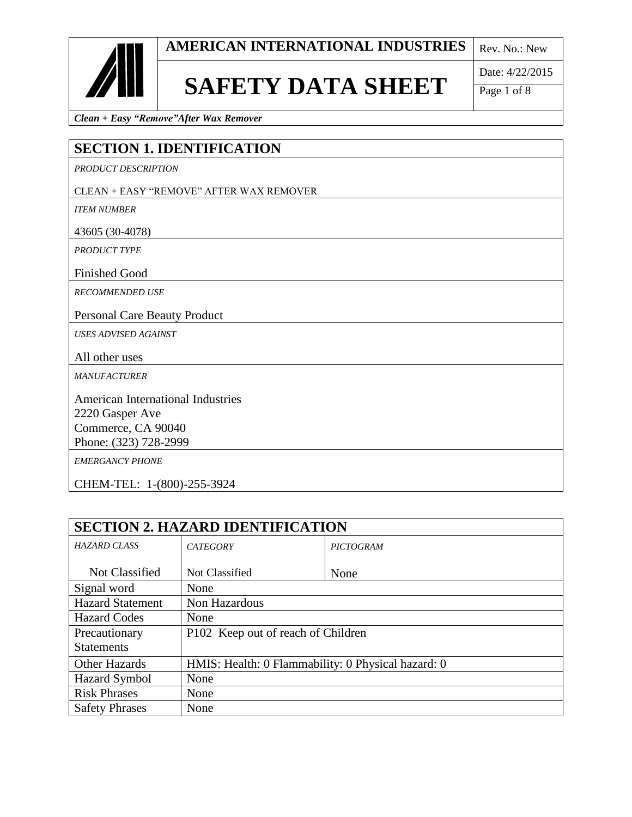

### **SAFETY DATA SHEET**

Date: 4/22/2015

Page 1 of 8

*Clean + Easy "Remove"After Wax Remover*

#### **SECTION 1. IDENTIFICATION**

*PRODUCT DESCRIPTION*

#### CLEAN + EASY "REMOVE" AFTER WAX REMOVER

*ITEM NUMBER*

43605 (30-4078)

*PRODUCT TYPE*

Finished Good

*RECOMMENDED USE*

Personal Care Beauty Product

*USES ADVISED AGAINST*

All other uses

*MANUFACTURER* 

American International Industries 2220 Gasper Ave Commerce, CA 90040 Phone: (323) 728-2999

*EMERGANCY PHONE*

CHEM-TEL: 1-(800)-255-3924

| <b>SECTION 2. HAZARD IDENTIFICATION</b> |                                                    |                  |
|-----------------------------------------|----------------------------------------------------|------------------|
| <b>HAZARD CLASS</b>                     | <b>CATEGORY</b>                                    | <b>PICTOGRAM</b> |
|                                         |                                                    |                  |
| Not Classified                          | Not Classified                                     | None             |
| Signal word                             | None                                               |                  |
| <b>Hazard Statement</b>                 | Non Hazardous                                      |                  |
| <b>Hazard Codes</b>                     | None                                               |                  |
| Precautionary                           | P102 Keep out of reach of Children                 |                  |
| <b>Statements</b>                       |                                                    |                  |
| <b>Other Hazards</b>                    | HMIS: Health: 0 Flammability: 0 Physical hazard: 0 |                  |
| <b>Hazard Symbol</b>                    | None                                               |                  |
| <b>Risk Phrases</b>                     | None                                               |                  |
| <b>Safety Phrases</b>                   | None                                               |                  |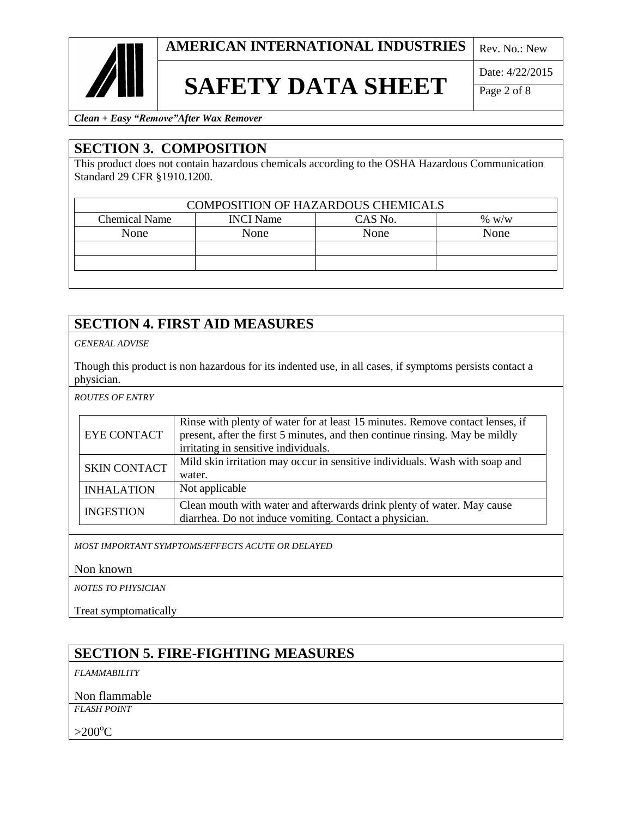

## **SAFETY DATA SHEET**

Date: 4/22/2015

Page 2 of 8

*Clean + Easy "Remove"After Wax Remover*

#### **SECTION 3. COMPOSITION**

This product does not contain hazardous chemicals according to the OSHA Hazardous Communication Standard 29 CFR §1910.1200.

| <b>COMPOSITION OF HAZARDOUS CHEMICALS</b> |                  |         |          |
|-------------------------------------------|------------------|---------|----------|
| <b>Chemical Name</b>                      | <b>INCI</b> Name | CAS No. | $\%$ w/w |
| None                                      | None             | None    | None     |
|                                           |                  |         |          |
|                                           |                  |         |          |
|                                           |                  |         |          |

#### **SECTION 4. FIRST AID MEASURES**

*GENERAL ADVISE*

Though this product is non hazardous for its indented use, in all cases, if symptoms persists contact a physician.

*ROUTES OF ENTRY*

| <b>EYE CONTACT</b>  | Rinse with plenty of water for at least 15 minutes. Remove contact lenses, if<br>present, after the first 5 minutes, and then continue rinsing. May be mildly<br>irritating in sensitive individuals. |
|---------------------|-------------------------------------------------------------------------------------------------------------------------------------------------------------------------------------------------------|
| <b>SKIN CONTACT</b> | Mild skin irritation may occur in sensitive individuals. Wash with soap and<br>water.                                                                                                                 |
| <b>INHALATION</b>   | Not applicable                                                                                                                                                                                        |
| <b>INGESTION</b>    | Clean mouth with water and afterwards drink plenty of water. May cause<br>diarrhea. Do not induce vomiting. Contact a physician.                                                                      |

*MOST IMPORTANT SYMPTOMS/EFFECTS ACUTE OR DELAYED* 

Non known

*NOTES TO PHYSICIAN*

Treat symptomatically

#### **SECTION 5. FIRE-FIGHTING MEASURES**

*FLAMMABILITY*

Non flammable

*FLASH POINT* 

 $>200^{\circ}C$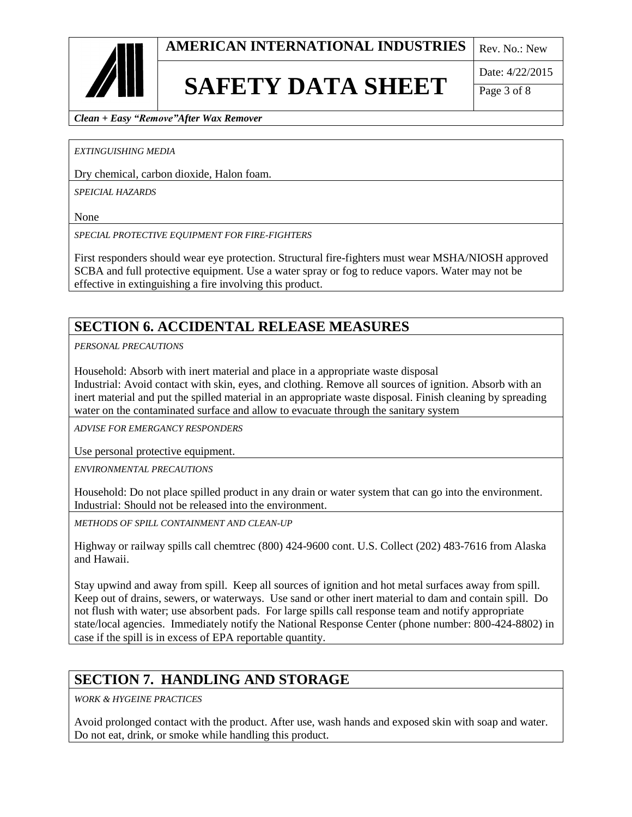# **SAFETY DATA SHEET**

Date: 4/22/2015

Page 3 of 8

*Clean + Easy "Remove"After Wax Remover*

*EXTINGUISHING MEDIA*

Dry chemical, carbon dioxide, Halon foam.

*SPEICIAL HAZARDS*

None

*SPECIAL PROTECTIVE EQUIPMENT FOR FIRE-FIGHTERS*

First responders should wear eye protection. Structural fire-fighters must wear MSHA/NIOSH approved SCBA and full protective equipment. Use a water spray or fog to reduce vapors. Water may not be effective in extinguishing a fire involving this product.

#### **SECTION 6. ACCIDENTAL RELEASE MEASURES**

*PERSONAL PRECAUTIONS*

Household: Absorb with inert material and place in a appropriate waste disposal Industrial: Avoid contact with skin, eyes, and clothing. Remove all sources of ignition. Absorb with an inert material and put the spilled material in an appropriate waste disposal. Finish cleaning by spreading water on the contaminated surface and allow to evacuate through the sanitary system

*ADVISE FOR EMERGANCY RESPONDERS*

Use personal protective equipment.

*ENVIRONMENTAL PRECAUTIONS*

Household: Do not place spilled product in any drain or water system that can go into the environment. Industrial: Should not be released into the environment.

*METHODS OF SPILL CONTAINMENT AND CLEAN-UP*

Highway or railway spills call chemtrec (800) 424-9600 cont. U.S. Collect (202) 483-7616 from Alaska and Hawaii.

Stay upwind and away from spill. Keep all sources of ignition and hot metal surfaces away from spill. Keep out of drains, sewers, or waterways. Use sand or other inert material to dam and contain spill. Do not flush with water; use absorbent pads. For large spills call response team and notify appropriate state/local agencies. Immediately notify the National Response Center (phone number: 800-424-8802) in case if the spill is in excess of EPA reportable quantity.

#### **SECTION 7. HANDLING AND STORAGE**

*WORK & HYGEINE PRACTICES*

Avoid prolonged contact with the product. After use, wash hands and exposed skin with soap and water. Do not eat, drink, or smoke while handling this product.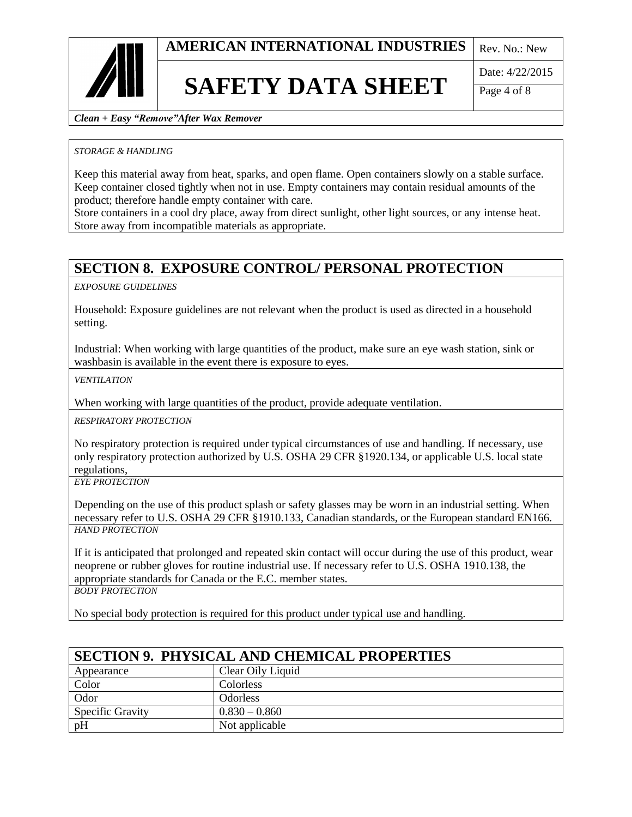

### **SAFETY DATA SHEET**

Date: 4/22/2015

Page 4 of 8

*Clean + Easy "Remove"After Wax Remover*

#### *STORAGE & HANDLING*

Keep this material away from heat, sparks, and open flame. Open containers slowly on a stable surface. Keep container closed tightly when not in use. Empty containers may contain residual amounts of the product; therefore handle empty container with care.

Store containers in a cool dry place, away from direct sunlight, other light sources, or any intense heat. Store away from incompatible materials as appropriate.

#### **SECTION 8. EXPOSURE CONTROL/ PERSONAL PROTECTION**

*EXPOSURE GUIDELINES* 

Household: Exposure guidelines are not relevant when the product is used as directed in a household setting.

Industrial: When working with large quantities of the product, make sure an eye wash station, sink or washbasin is available in the event there is exposure to eyes.

*VENTILATION*

When working with large quantities of the product, provide adequate ventilation.

*RESPIRATORY PROTECTION*

No respiratory protection is required under typical circumstances of use and handling. If necessary, use only respiratory protection authorized by U.S. OSHA 29 CFR §1920.134, or applicable U.S. local state regulations,

*EYE PROTECTION*

Depending on the use of this product splash or safety glasses may be worn in an industrial setting. When necessary refer to U.S. OSHA 29 CFR §1910.133, Canadian standards, or the European standard EN166. *HAND PROTECTION*

If it is anticipated that prolonged and repeated skin contact will occur during the use of this product, wear neoprene or rubber gloves for routine industrial use. If necessary refer to U.S. OSHA 1910.138, the appropriate standards for Canada or the E.C. member states.

*BODY PROTECTION*

No special body protection is required for this product under typical use and handling.

| <b>SECTION 9. PHYSICAL AND CHEMICAL PROPERTIES</b> |                   |
|----------------------------------------------------|-------------------|
| Appearance                                         | Clear Oily Liquid |
| Color                                              | Colorless         |
| Odor                                               | <b>Odorless</b>   |
| <b>Specific Gravity</b>                            | $0.830 - 0.860$   |
| pH                                                 | Not applicable    |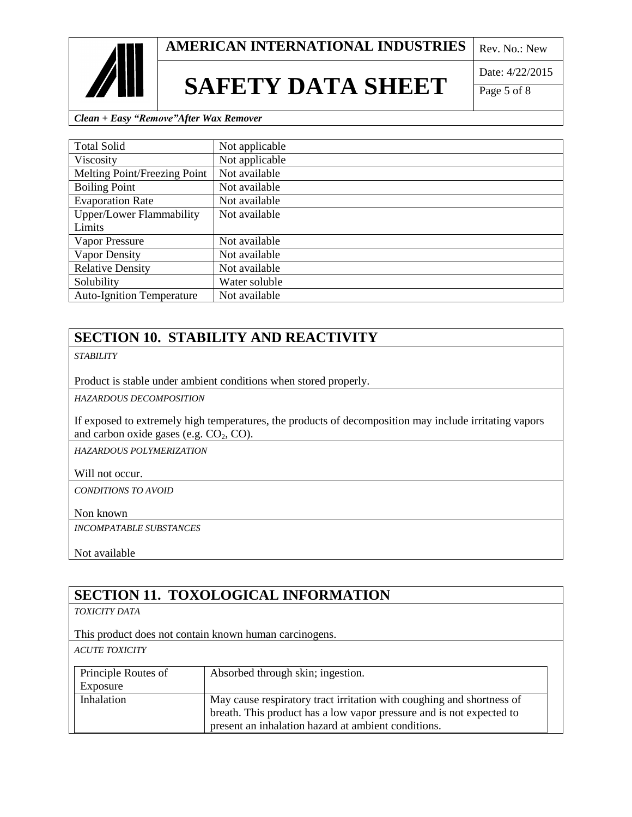



### **SAFETY DATA SHEET**

Date: 4/22/2015

Page 5 of 8

*Clean + Easy "Remove"After Wax Remover*

| <b>Total Solid</b>               | Not applicable |
|----------------------------------|----------------|
| Viscosity                        | Not applicable |
| Melting Point/Freezing Point     | Not available  |
| <b>Boiling Point</b>             | Not available  |
| <b>Evaporation Rate</b>          | Not available  |
| <b>Upper/Lower Flammability</b>  | Not available  |
| Limits                           |                |
| <b>Vapor Pressure</b>            | Not available  |
| Vapor Density                    | Not available  |
| <b>Relative Density</b>          | Not available  |
| Solubility                       | Water soluble  |
| <b>Auto-Ignition Temperature</b> | Not available  |

#### **SECTION 10. STABILITY AND REACTIVITY**

*STABILITY*

Product is stable under ambient conditions when stored properly.

*HAZARDOUS DECOMPOSITION* 

If exposed to extremely high temperatures, the products of decomposition may include irritating vapors and carbon oxide gases (e.g.  $CO<sub>2</sub>$ ,  $CO<sub>2</sub>$ ).

*HAZARDOUS POLYMERIZATION* 

Will not occur.

*CONDITIONS TO AVOID*

Non known

*INCOMPATABLE SUBSTANCES*

Not available

#### **SECTION 11. TOXOLOGICAL INFORMATION**

*TOXICITY DATA*

This product does not contain known human carcinogens.

*ACUTE TOXICITY*

| Principle Routes of | Absorbed through skin; ingestion.                                                                                                             |
|---------------------|-----------------------------------------------------------------------------------------------------------------------------------------------|
| Exposure            |                                                                                                                                               |
| Inhalation          | May cause respiratory tract irritation with coughing and shortness of<br>breath. This product has a low vapor pressure and is not expected to |
|                     | present an inhalation hazard at ambient conditions.                                                                                           |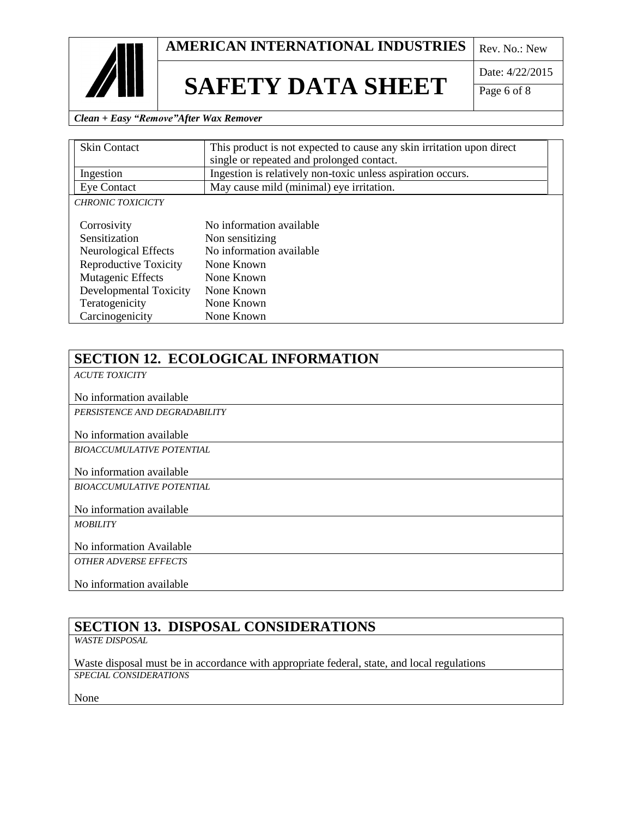

### **SAFETY DATA SHEET**

Date: 4/22/2015

Page 6 of 8

*Clean + Easy "Remove"After Wax Remover*

| <b>Skin Contact</b>      | This product is not expected to cause any skin irritation upon direct |  |
|--------------------------|-----------------------------------------------------------------------|--|
|                          | single or repeated and prolonged contact.                             |  |
| Ingestion                | Ingestion is relatively non-toxic unless aspiration occurs.           |  |
| <b>Eye Contact</b>       | May cause mild (minimal) eye irritation.                              |  |
| <b>CHRONIC TOXICICTY</b> |                                                                       |  |
|                          |                                                                       |  |
| Corrosivity              | No information available                                              |  |
| Sensitization            | Non sensitizing                                                       |  |
| Neurological Effects     | No information available                                              |  |
| Reproductive Toxicity    | None Known                                                            |  |
| Mutagenic Effects        | None Known                                                            |  |
| Developmental Toxicity   | None Known                                                            |  |
| Teratogenicity           | None Known                                                            |  |
| Carcinogenicity          | None Known                                                            |  |

### **SECTION 12. ECOLOGICAL INFORMATION**

*ACUTE TOXICITY*

No information available

*PERSISTENCE AND DEGRADABILITY*

No information available

*BIOACCUMULATIVE POTENTIAL*

No information available

*BIOACCUMULATIVE POTENTIAL*

No information available

*MOBILITY*

No information Available

*OTHER ADVERSE EFFECTS*

No information available

#### **SECTION 13. DISPOSAL CONSIDERATIONS**

*WASTE DISPOSAL*

Waste disposal must be in accordance with appropriate federal, state, and local regulations *SPECIAL CONSIDERATIONS*

None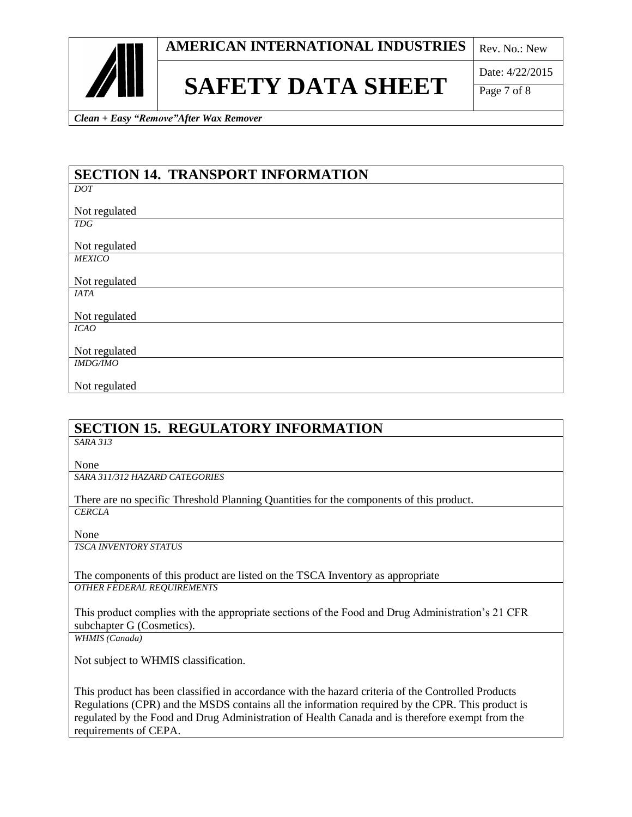

### **SAFETY DATA SHEET**

Date: 4/22/2015

Page 7 of 8

*Clean + Easy "Remove"After Wax Remover*

| <b>SECTION 14. TRANSPORT INFORMATION</b> |
|------------------------------------------|
| DOT                                      |
|                                          |
| Not regulated                            |
| <b>TDG</b>                               |
|                                          |
| Not regulated                            |
| <b>MEXICO</b>                            |
|                                          |
| Not regulated                            |
| <b>IATA</b>                              |
|                                          |
| Not regulated                            |
| ICAO                                     |
|                                          |
| Not regulated                            |
| <b>IMDG/IMO</b>                          |
|                                          |
| Not regulated                            |

#### **SECTION 15. REGULATORY INFORMATION**

*SARA 313*

None

*SARA 311/312 HAZARD CATEGORIES*

There are no specific Threshold Planning Quantities for the components of this product. *CERCLA*

None

*TSCA INVENTORY STATUS*

The components of this product are listed on the TSCA Inventory as appropriate *OTHER FEDERAL REQUIREMENTS*

This product complies with the appropriate sections of the Food and Drug Administration's 21 CFR subchapter G (Cosmetics).

*WHMIS (Canada)*

Not subject to WHMIS classification.

This product has been classified in accordance with the hazard criteria of the Controlled Products Regulations (CPR) and the MSDS contains all the information required by the CPR. This product is regulated by the Food and Drug Administration of Health Canada and is therefore exempt from the requirements of CEPA.